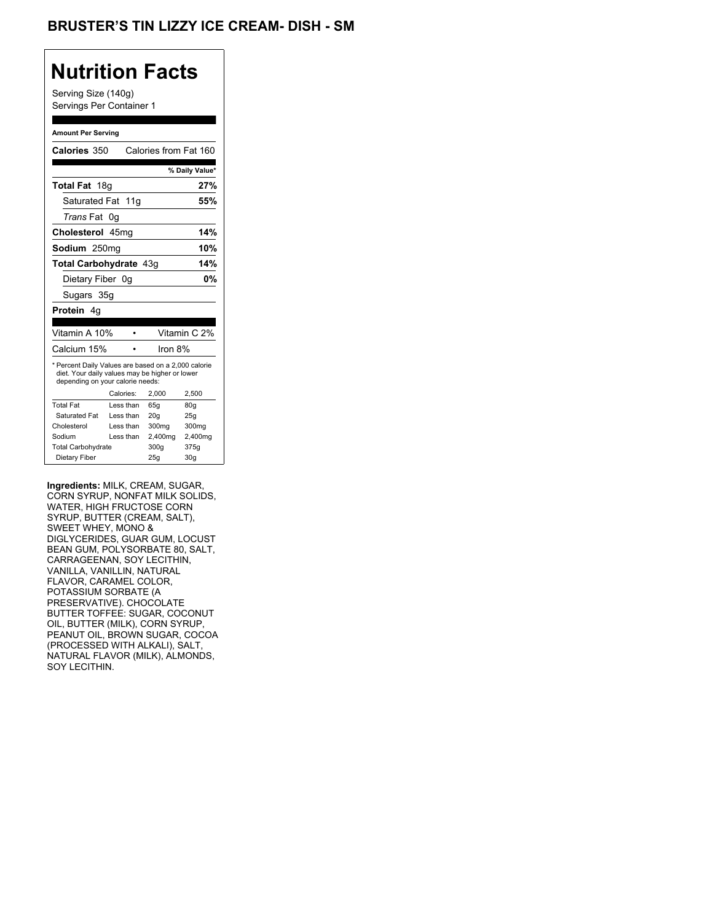## **Nutrition Facts**

Serving Size (140g) Servings Per Container 1

#### **Amount Per Serving**

| Calories 350                                                                                                                              |           | Calories from Fat 160 |                 |
|-------------------------------------------------------------------------------------------------------------------------------------------|-----------|-----------------------|-----------------|
|                                                                                                                                           |           |                       | % Daily Value*  |
| <b>Total Fat</b> 18g                                                                                                                      |           |                       | 27%             |
| Saturated Fat 11g                                                                                                                         |           |                       | 55%             |
| Trans Fat 0g                                                                                                                              |           |                       |                 |
| Cholesterol 45mg                                                                                                                          |           |                       | 14%             |
| Sodium 250mg                                                                                                                              |           |                       | 10%             |
| Total Carbohydrate 43q                                                                                                                    |           |                       | 14%             |
| Dietary Fiber 0q                                                                                                                          |           |                       | 0%              |
| Sugars 35g                                                                                                                                |           |                       |                 |
| Protein 4q                                                                                                                                |           |                       |                 |
|                                                                                                                                           |           |                       |                 |
| Vitamin A 10%                                                                                                                             |           |                       | Vitamin C 2%    |
| Calcium 15%                                                                                                                               |           | Iron $8%$             |                 |
| * Percent Daily Values are based on a 2,000 calorie<br>diet. Your daily values may be higher or lower<br>depending on your calorie needs: |           |                       |                 |
|                                                                                                                                           | Calories: | 2,000                 | 2,500           |
| <b>Total Fat</b>                                                                                                                          | Less than | 65q                   | 80q             |
| Saturated Fat                                                                                                                             | Less than | 20q                   | 25q             |
| Cholesterol                                                                                                                               | Less than | 300mg                 | 300mg           |
| Sodium                                                                                                                                    | Less than | 2,400mg               | 2,400mg         |
| <b>Total Carbohydrate</b>                                                                                                                 |           | 300q                  | 375g            |
| Dietary Fiber                                                                                                                             |           | 25g                   | 30 <sub>g</sub> |

**Ingredients:** MILK, CREAM, SUGAR, CORN SYRUP, NONFAT MILK SOLIDS, WATER, HIGH FRUCTOSE CORN SYRUP, BUTTER (CREAM, SALT), SWEET WHEY, MONO & DIGLYCERIDES, GUAR GUM, LOCUST BEAN GUM, POLYSORBATE 80, SALT, CARRAGEENAN, SOY LECITHIN, VANILLA, VANILLIN, NATURAL FLAVOR, CARAMEL COLOR, POTASSIUM SORBATE (A PRESERVATIVE). CHOCOLATE BUTTER TOFFEE: SUGAR, COCONUT OIL, BUTTER (MILK), CORN SYRUP, PEANUT OIL, BROWN SUGAR, COCOA (PROCESSED WITH ALKALI), SALT, NATURAL FLAVOR (MILK), ALMONDS, SOY LECITHIN.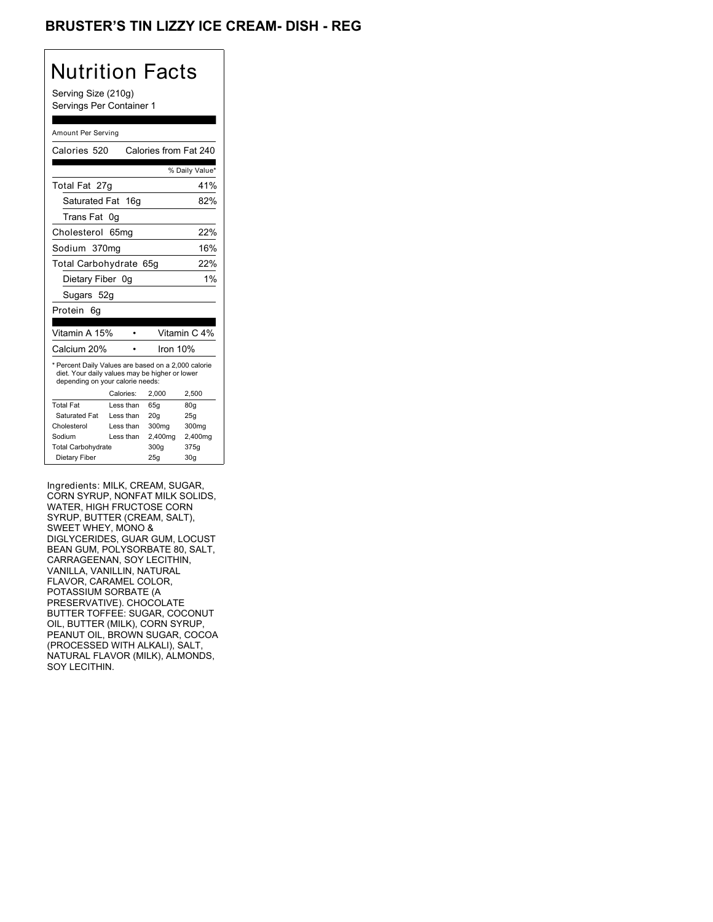## BRUSTER'S TIN LIZZY ICE CREAM- DISH - REG

## Nutrition Facts

Serving Size (210g) Servings Per Container 1

#### Amount Per Serving

| Calories 520                                                                                                                              |            | Calories from Fat 240 |                |
|-------------------------------------------------------------------------------------------------------------------------------------------|------------|-----------------------|----------------|
|                                                                                                                                           |            |                       | % Daily Value* |
| Total Fat 27g                                                                                                                             |            |                       | 41%            |
| Saturated Fat 16g                                                                                                                         |            |                       | 82%            |
| Trans Fat                                                                                                                                 | 0a         |                       |                |
| Cholesterol                                                                                                                               | 65mq       |                       | 22%            |
| Sodium 370ma                                                                                                                              |            |                       | 16%            |
| Total Carbohydrate 65g                                                                                                                    |            |                       | 22%            |
| Dietary Fiber 0g                                                                                                                          |            |                       | 1%             |
| Sugars 52g                                                                                                                                |            |                       |                |
| Protein<br>6q                                                                                                                             |            |                       |                |
| Vitamin A 15%                                                                                                                             |            |                       | Vitamin C 4%   |
| Calcium 20%                                                                                                                               |            | Iron 10%              |                |
| * Percent Daily Values are based on a 2,000 calorie<br>diet. Your daily values may be higher or lower<br>depending on your calorie needs: |            |                       |                |
|                                                                                                                                           | Calories:  | 2,000                 | 2,500          |
| <b>Total Fat</b>                                                                                                                          | Less than  | 65q                   | 80q            |
| Saturated Fat                                                                                                                             | Less than  | 20q                   | 25q            |
| Cholesterol                                                                                                                               | I ess than | 300mg                 | 300mg          |
| Sodium                                                                                                                                    | Less than  | 2,400mg               | 2,400mg        |
| <b>Total Carbohydrate</b>                                                                                                                 |            | 300g                  | 375g           |
| Dietary Fiber                                                                                                                             |            | 25g                   | 30q            |

Ingredients: MILK, CREAM, SUGAR, CORN SYRUP, NONFAT MILK SOLIDS, WATER, HIGH FRUCTOSE CORN SYRUP, BUTTER (CREAM, SALT), SWEET WHEY, MONO & DIGLYCERIDES, GUAR GUM, LOCUST BEAN GUM, POLYSORBATE 80, SALT, CARRAGEENAN, SOY LECITHIN, VANILLA, VANILLIN, NATURAL FLAVOR, CARAMEL COLOR, POTASSIUM SORBATE (A PRESERVATIVE). CHOCOLATE BUTTER TOFFEE: SUGAR, COCONUT OIL, BUTTER (MILK), CORN SYRUP, PEANUT OIL, BROWN SUGAR, COCOA (PROCESSED WITH ALKALI), SALT, NATURAL FLAVOR (MILK), ALMONDS, SOY LECITHIN.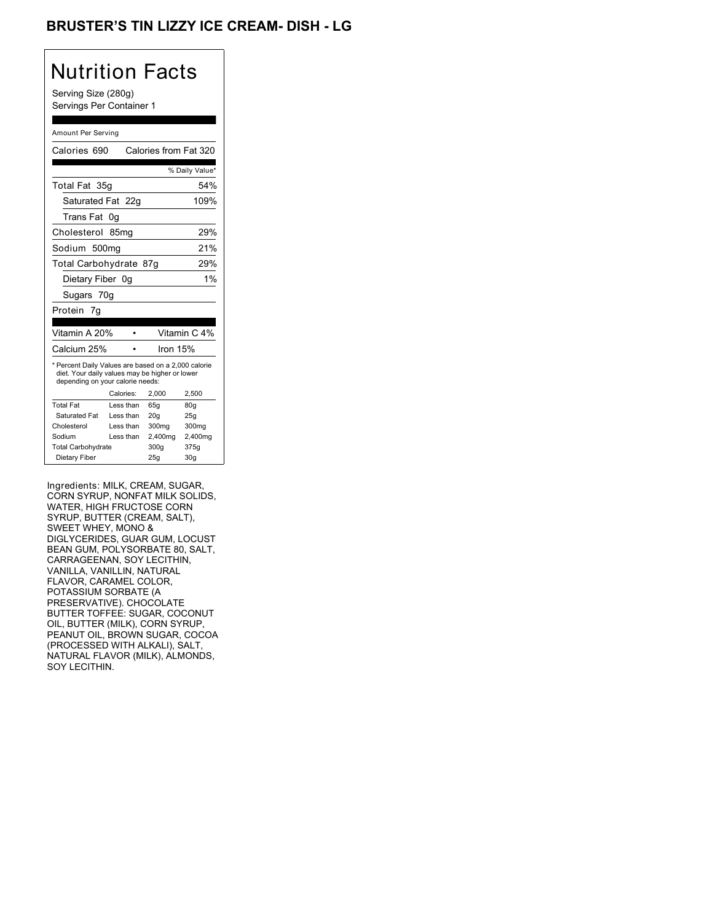## BRUSTER'S TIN LIZZY ICE CREAM- DISH - LG

## Nutrition Facts

Serving Size (280g) Servings Per Container 1

#### Amount Per Serving

| Calories 690                                                                                                                              |           |          | Calories from Fat 320 |
|-------------------------------------------------------------------------------------------------------------------------------------------|-----------|----------|-----------------------|
|                                                                                                                                           |           |          | % Daily Value*        |
| Total Fat 35g                                                                                                                             |           |          | 54%                   |
| Saturated Fat 22g                                                                                                                         |           |          | 109%                  |
| Trans Fat                                                                                                                                 | 0g        |          |                       |
| Cholesterol                                                                                                                               | 85mg      |          | 29%                   |
| Sodium 500mg                                                                                                                              |           |          | 21%                   |
| Total Carbohydrate 87g                                                                                                                    |           |          | 29%                   |
| Dietary Fiber 0q                                                                                                                          |           |          | 1%                    |
| Sugars 70g                                                                                                                                |           |          |                       |
| Protein 7g                                                                                                                                |           |          |                       |
| Vitamin A 20%                                                                                                                             |           |          | Vitamin C 4%          |
| Calcium 25%                                                                                                                               |           | lron 15% |                       |
| * Percent Daily Values are based on a 2,000 calorie<br>diet. Your daily values may be higher or lower<br>depending on your calorie needs: |           |          |                       |
|                                                                                                                                           | Calories: | 2,000    | 2,500                 |
| <b>Total Fat</b>                                                                                                                          | Less than | 65q      | 80 <sub>g</sub>       |
| Saturated Fat                                                                                                                             | Less than | 20q      | 25q                   |
| Cholesterol                                                                                                                               | Less than | 300mg    | 300mg                 |
| Sodium                                                                                                                                    | Less than | 2,400mg  | 2,400mg               |
|                                                                                                                                           |           |          |                       |
| <b>Total Carbohydrate</b>                                                                                                                 |           | 300g     | 375g                  |

Ingredients: MILK, CREAM, SUGAR, CORN SYRUP, NONFAT MILK SOLIDS, WATER, HIGH FRUCTOSE CORN SYRUP, BUTTER (CREAM, SALT), SWEET WHEY, MONO & DIGLYCERIDES, GUAR GUM, LOCUST BEAN GUM, POLYSORBATE 80, SALT, CARRAGEENAN, SOY LECITHIN, VANILLA, VANILLIN, NATURAL FLAVOR, CARAMEL COLOR, POTASSIUM SORBATE (A PRESERVATIVE). CHOCOLATE BUTTER TOFFEE: SUGAR, COCONUT OIL, BUTTER (MILK), CORN SYRUP, PEANUT OIL, BROWN SUGAR, COCOA (PROCESSED WITH ALKALI), SALT, NATURAL FLAVOR (MILK), ALMONDS, SOY LECITHIN.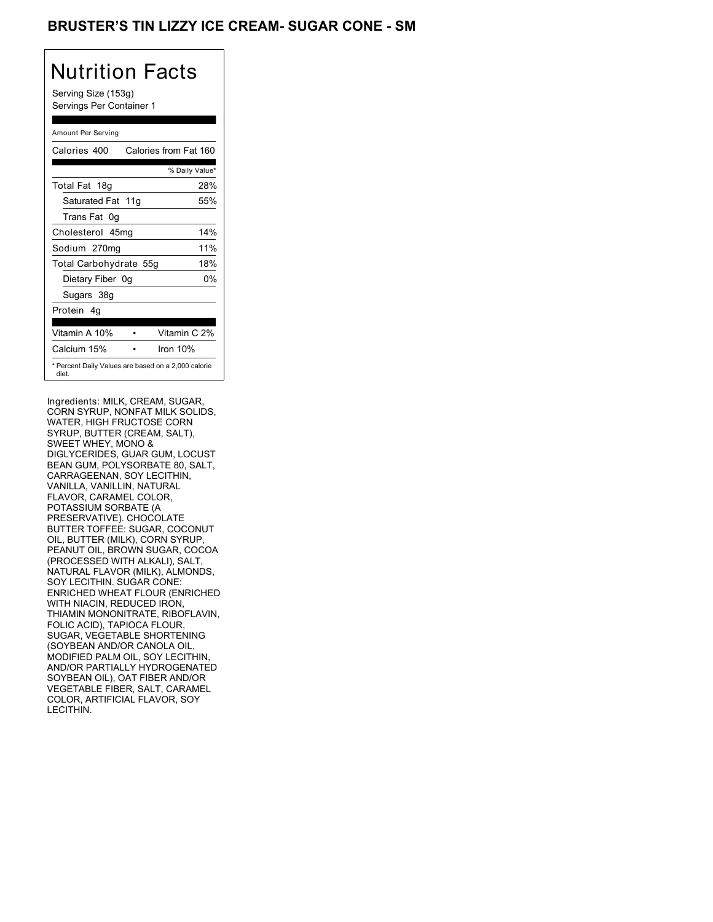## BRUSTER'S TIN LIZZY ICE CREAM- SUGAR CONE - SM

# Nutrition Facts

Serving Size (153g) Servings Per Container 1

#### Amount Per Serving

| Calories 400           | Calories from Fat 160                               |
|------------------------|-----------------------------------------------------|
|                        | % Daily Value*                                      |
| Total Fat 18g          | 28%                                                 |
| Saturated Fat 11g      | 55%                                                 |
| Trans Fat 0q           |                                                     |
| Cholesterol 45mg       | 14%                                                 |
| Sodium 270mg           | 11%                                                 |
| Total Carbohydrate 55g | 18%                                                 |
| Dietary Fiber 0g       | 0%                                                  |
| Sugars 38g             |                                                     |
| Protein 4q             |                                                     |
| Vitamin A 10%          | Vitamin C 2%                                        |
| Calcium 15%            | Iron 10%                                            |
| diet.                  | * Percent Daily Values are based on a 2,000 calorie |

Ingredients: MILK, CREAM, SUGAR, CORN SYRUP, NONFAT MILK SOLIDS, WATER, HIGH FRUCTOSE CORN SYRUP, BUTTER (CREAM, SALT), SWEET WHEY, MONO & DIGLYCERIDES, GUAR GUM, LOCUST BEAN GUM, POLYSORBATE 80, SALT, CARRAGEENAN, SOY LECITHIN, VANILLA, VANILLIN, NATURAL FLAVOR, CARAMEL COLOR, POTASSIUM SORBATE (A PRESERVATIVE). CHOCOLATE BUTTER TOFFEE: SUGAR, COCONUT OIL, BUTTER (MILK), CORN SYRUP, PEANUT OIL, BROWN SUGAR, COCOA (PROCESSED WITH ALKALI), SALT, NATURAL FLAVOR (MILK), ALMONDS, SOY LECITHIN. SUGAR CONE: ENRICHED WHEAT FLOUR (ENRICHED WITH NIACIN, REDUCED IRON, THIAMIN MONONITRATE, RIBOFLAVIN, FOLIC ACID), TAPIOCA FLOUR, SUGAR, VEGETABLE SHORTENING (SOYBEAN AND/OR CANOLA OIL, MODIFIED PALM OIL, SOY LECITHIN, AND/OR PARTIALLY HYDROGENATED SOYBEAN OIL), OAT FIBER AND/OR VEGETABLE FIBER, SALT, CARAMEL COLOR, ARTIFICIAL FLAVOR, SOY LECITHIN.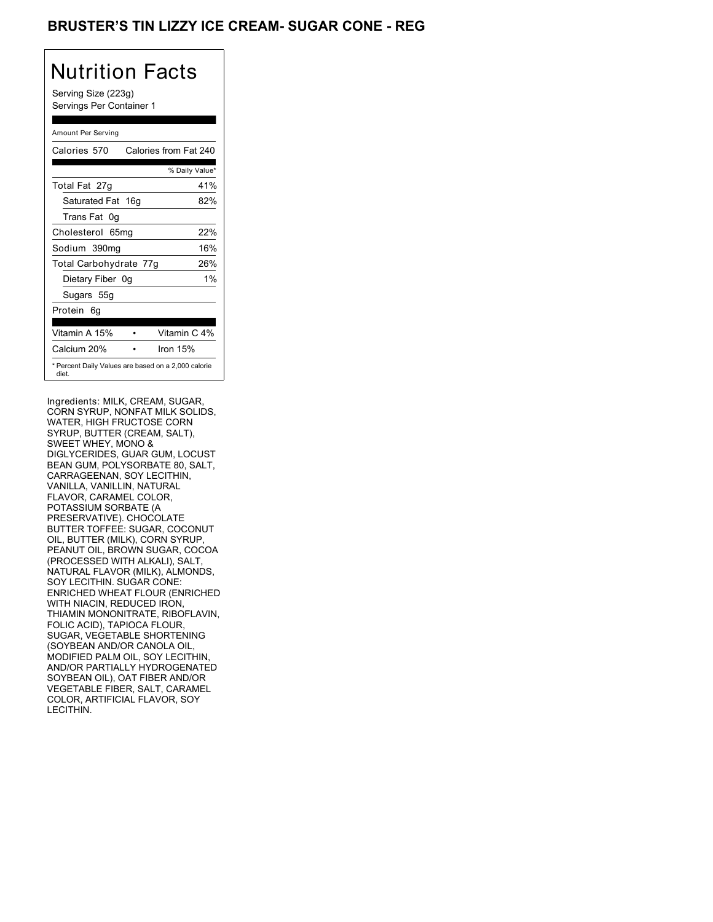## BRUSTER'S TIN LIZZY ICE CREAM- SUGAR CONE - REG

## Nutrition Facts

Serving Size (223g) Servings Per Container 1

#### Amount Per Serving

| Calories 570           | Calories from Fat 240                               |
|------------------------|-----------------------------------------------------|
|                        | % Daily Value*                                      |
| Total Fat 27g          | 41%                                                 |
| Saturated Fat 16g      | 82%                                                 |
| Trans Fat 0q           |                                                     |
| Cholesterol 65mg       | 22%                                                 |
| Sodium 390mg           | 16%                                                 |
| Total Carbohydrate 77g | 26%                                                 |
| Dietary Fiber 0g       | $1\%$                                               |
| Sugars 55g             |                                                     |
| Protein 6q             |                                                     |
| Vitamin A 15%          | Vitamin C 4%                                        |
| Calcium 20%            | Iron $15%$                                          |
| diet.                  | * Percent Daily Values are based on a 2,000 calorie |

Ingredients: MILK, CREAM, SUGAR, CORN SYRUP, NONFAT MILK SOLIDS, WATER, HIGH FRUCTOSE CORN SYRUP, BUTTER (CREAM, SALT), SWEET WHEY, MONO & DIGLYCERIDES, GUAR GUM, LOCUST BEAN GUM, POLYSORBATE 80, SALT, CARRAGEENAN, SOY LECITHIN, VANILLA, VANILLIN, NATURAL FLAVOR, CARAMEL COLOR, POTASSIUM SORBATE (A PRESERVATIVE). CHOCOLATE BUTTER TOFFEE: SUGAR, COCONUT OIL, BUTTER (MILK), CORN SYRUP, PEANUT OIL, BROWN SUGAR, COCOA (PROCESSED WITH ALKALI), SALT, NATURAL FLAVOR (MILK), ALMONDS, SOY LECITHIN. SUGAR CONE: ENRICHED WHEAT FLOUR (ENRICHED WITH NIACIN, REDUCED IRON, THIAMIN MONONITRATE, RIBOFLAVIN, FOLIC ACID), TAPIOCA FLOUR, SUGAR, VEGETABLE SHORTENING (SOYBEAN AND/OR CANOLA OIL, MODIFIED PALM OIL, SOY LECITHIN, AND/OR PARTIALLY HYDROGENATED SOYBEAN OIL), OAT FIBER AND/OR VEGETABLE FIBER, SALT, CARAMEL COLOR, ARTIFICIAL FLAVOR, SOY LECITHIN.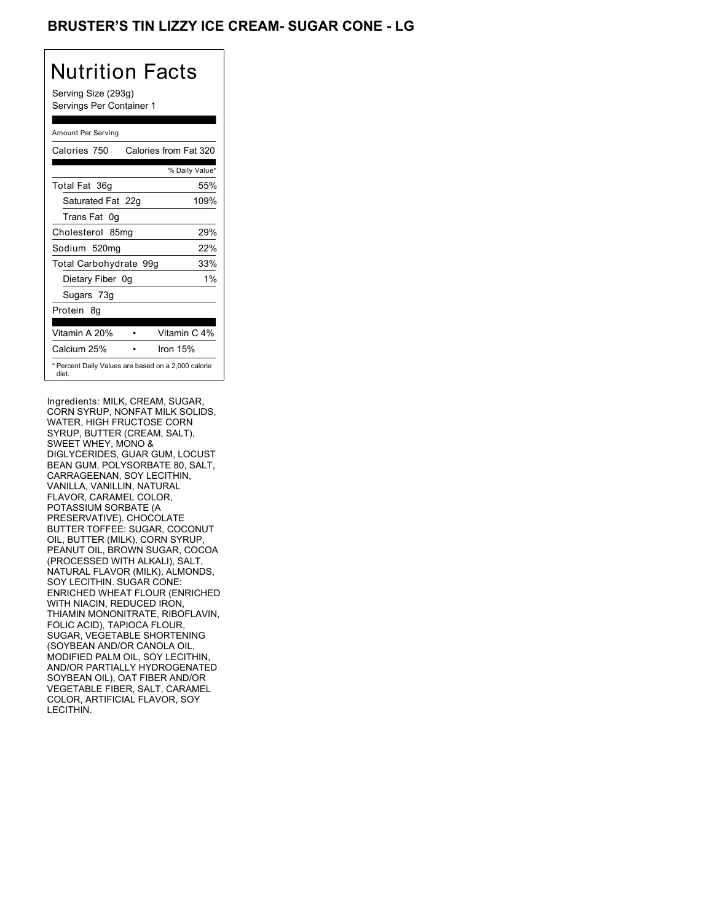## BRUSTER'S TIN LIZZY ICE CREAM- SUGAR CONE - LG

# Nutrition Facts

Serving Size (293g) Servings Per Container 1

#### Amount Per Serving

| Calories 750           | Calories from Fat 320                               |       |
|------------------------|-----------------------------------------------------|-------|
|                        | % Daily Value*                                      |       |
| Total Fat 36g          |                                                     | 55%   |
| Saturated Fat 22g      | 109%                                                |       |
| Trans Fat 0q           |                                                     |       |
| Cholesterol 85mg       |                                                     | 29%   |
| Sodium 520mg           |                                                     | 22%   |
| Total Carbohydrate 99g |                                                     | 33%   |
| Dietary Fiber 0g       |                                                     | $1\%$ |
| Sugars 73g             |                                                     |       |
| Protein 8q             |                                                     |       |
| Vitamin A 20%          | Vitamin C 4%                                        |       |
| Calcium 25%            | Iron 15%                                            |       |
| diet.                  | * Percent Daily Values are based on a 2,000 calorie |       |

Ingredients: MILK, CREAM, SUGAR, CORN SYRUP, NONFAT MILK SOLIDS, WATER, HIGH FRUCTOSE CORN SYRUP, BUTTER (CREAM, SALT), SWEET WHEY, MONO & DIGLYCERIDES, GUAR GUM, LOCUST BEAN GUM, POLYSORBATE 80, SALT, CARRAGEENAN, SOY LECITHIN, VANILLA, VANILLIN, NATURAL FLAVOR, CARAMEL COLOR, POTASSIUM SORBATE (A PRESERVATIVE). CHOCOLATE BUTTER TOFFEE: SUGAR, COCONUT OIL, BUTTER (MILK), CORN SYRUP, PEANUT OIL, BROWN SUGAR, COCOA (PROCESSED WITH ALKALI), SALT, NATURAL FLAVOR (MILK), ALMONDS, SOY LECITHIN. SUGAR CONE: ENRICHED WHEAT FLOUR (ENRICHED WITH NIACIN, REDUCED IRON, THIAMIN MONONITRATE, RIBOFLAVIN, FOLIC ACID), TAPIOCA FLOUR, SUGAR, VEGETABLE SHORTENING (SOYBEAN AND/OR CANOLA OIL, MODIFIED PALM OIL, SOY LECITHIN, AND/OR PARTIALLY HYDROGENATED SOYBEAN OIL), OAT FIBER AND/OR VEGETABLE FIBER, SALT, CARAMEL COLOR, ARTIFICIAL FLAVOR, SOY LECITHIN.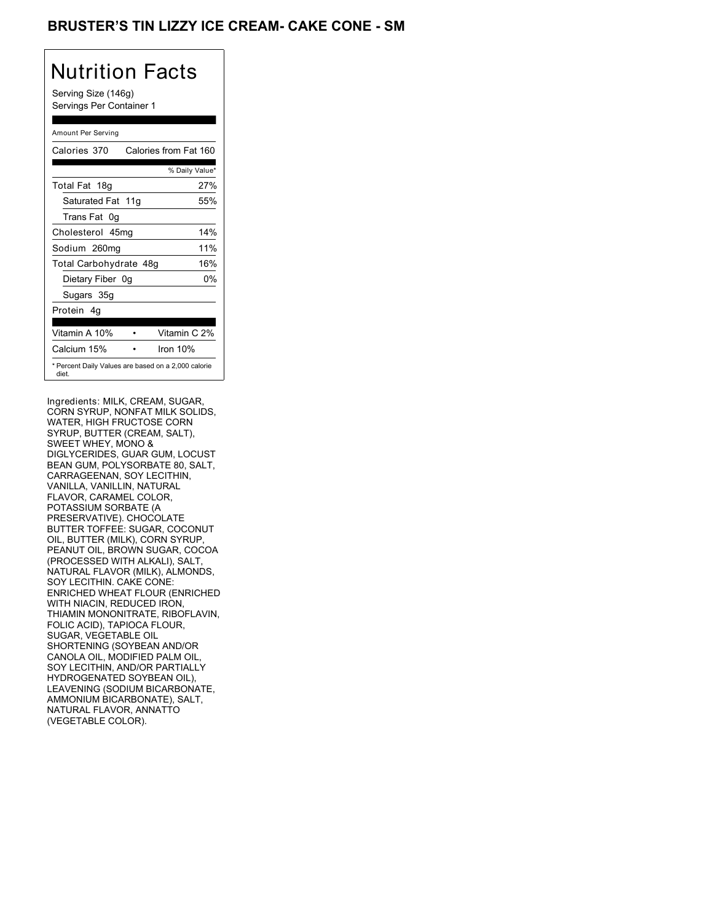## BRUSTER'S TIN LIZZY ICE CREAM- CAKE CONE - SM

## Nutrition Facts

Serving Size (146g) Servings Per Container 1

#### Amount Per Serving

| Calories 370                                                 | Calories from Fat 160 |
|--------------------------------------------------------------|-----------------------|
|                                                              | % Daily Value*        |
| Total Fat 18g                                                | 27%                   |
| Saturated Fat 11g                                            | 55%                   |
| Trans Fat 0q                                                 |                       |
| Cholesterol 45mg                                             | 14%                   |
| Sodium 260mg                                                 | 11%                   |
| Total Carbohydrate 48g                                       | 16%                   |
| Dietary Fiber 0g                                             | 0%                    |
| Sugars 35g                                                   |                       |
| Protein 4q                                                   |                       |
| Vitamin A 10%                                                | Vitamin C 2%          |
| Calcium 15%                                                  | Iron $10%$            |
| * Percent Daily Values are based on a 2,000 calorie<br>diet. |                       |

Ingredients: MILK, CREAM, SUGAR, CORN SYRUP, NONFAT MILK SOLIDS, WATER, HIGH FRUCTOSE CORN SYRUP, BUTTER (CREAM, SALT), SWEET WHEY, MONO & DIGLYCERIDES, GUAR GUM, LOCUST BEAN GUM, POLYSORBATE 80, SALT, CARRAGEENAN, SOY LECITHIN, VANILLA, VANILLIN, NATURAL FLAVOR, CARAMEL COLOR, POTASSIUM SORBATE (A PRESERVATIVE). CHOCOLATE BUTTER TOFFEE: SUGAR, COCONUT OIL, BUTTER (MILK), CORN SYRUP, PEANUT OIL, BROWN SUGAR, COCOA (PROCESSED WITH ALKALI), SALT, NATURAL FLAVOR (MILK), ALMONDS, SOY LECITHIN. CAKE CONE: ENRICHED WHEAT FLOUR (ENRICHED WITH NIACIN, REDUCED IRON, THIAMIN MONONITRATE, RIBOFLAVIN, FOLIC ACID), TAPIOCA FLOUR, SUGAR, VEGETABLE OIL SHORTENING (SOYBEAN AND/OR CANOLA OIL, MODIFIED PALM OIL, SOY LECITHIN, AND/OR PARTIALLY HYDROGENATED SOYBEAN OIL), LEAVENING (SODIUM BICARBONATE, AMMONIUM BICARBONATE), SALT, NATURAL FLAVOR, ANNATTO (VEGETABLE COLOR).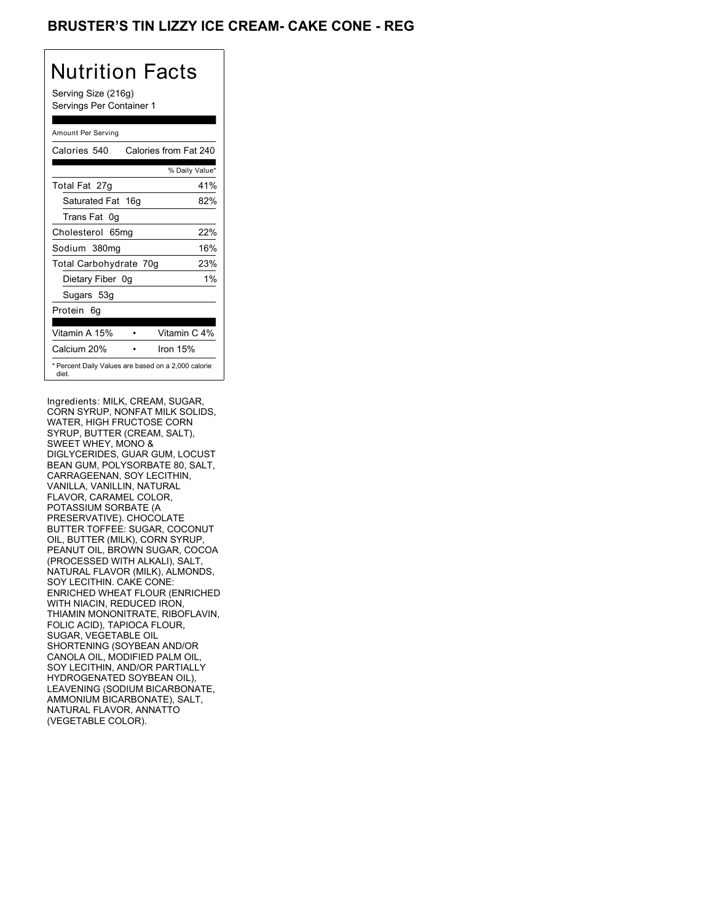## **BRUSTER'S TIN LIZZY ICE CREAM- CAKE CONE - REG**

## Nutrition Facts

Serving Size (216g) Servings Per Container 1

#### Amount Per Serving

| Calories 540           | Calories from Fat 240                               |
|------------------------|-----------------------------------------------------|
|                        | % Daily Value*                                      |
| Total Fat 27g          | 41%                                                 |
| Saturated Fat 16g      | 82%                                                 |
| Trans Fat 0q           |                                                     |
| Cholesterol 65mg       | 22%                                                 |
| Sodium 380mg           | 16%                                                 |
| Total Carbohydrate 70g | 23%                                                 |
| Dietary Fiber 0g       | $1\%$                                               |
| Sugars 53g             |                                                     |
| Protein 6q             |                                                     |
| Vitamin A 15%          | Vitamin C 4%                                        |
| Calcium 20%            | Iron $15%$                                          |
| diet.                  | * Percent Daily Values are based on a 2,000 calorie |

Ingredients: MILK, CREAM, SUGAR, CORN SYRUP, NONFAT MILK SOLIDS, WATER, HIGH FRUCTOSE CORN SYRUP, BUTTER (CREAM, SALT), SWEET WHEY, MONO & DIGLYCERIDES, GUAR GUM, LOCUST BEAN GUM, POLYSORBATE 80, SALT, CARRAGEENAN, SOY LECITHIN, VANILLA, VANILLIN, NATURAL FLAVOR, CARAMEL COLOR, POTASSIUM SORBATE (A PRESERVATIVE). CHOCOLATE BUTTER TOFFEE: SUGAR, COCONUT OIL, BUTTER (MILK), CORN SYRUP, PEANUT OIL, BROWN SUGAR, COCOA (PROCESSED WITH ALKALI), SALT, NATURAL FLAVOR (MILK), ALMONDS, SOY LECITHIN. CAKE CONE: ENRICHED WHEAT FLOUR (ENRICHED WITH NIACIN, REDUCED IRON, THIAMIN MONONITRATE, RIBOFLAVIN, FOLIC ACID), TAPIOCA FLOUR, SUGAR, VEGETABLE OIL SHORTENING (SOYBEAN AND/OR CANOLA OIL, MODIFIED PALM OIL, SOY LECITHIN, AND/OR PARTIALLY HYDROGENATED SOYBEAN OIL), LEAVENING (SODIUM BICARBONATE, AMMONIUM BICARBONATE), SALT, NATURAL FLAVOR, ANNATTO (VEGETABLE COLOR).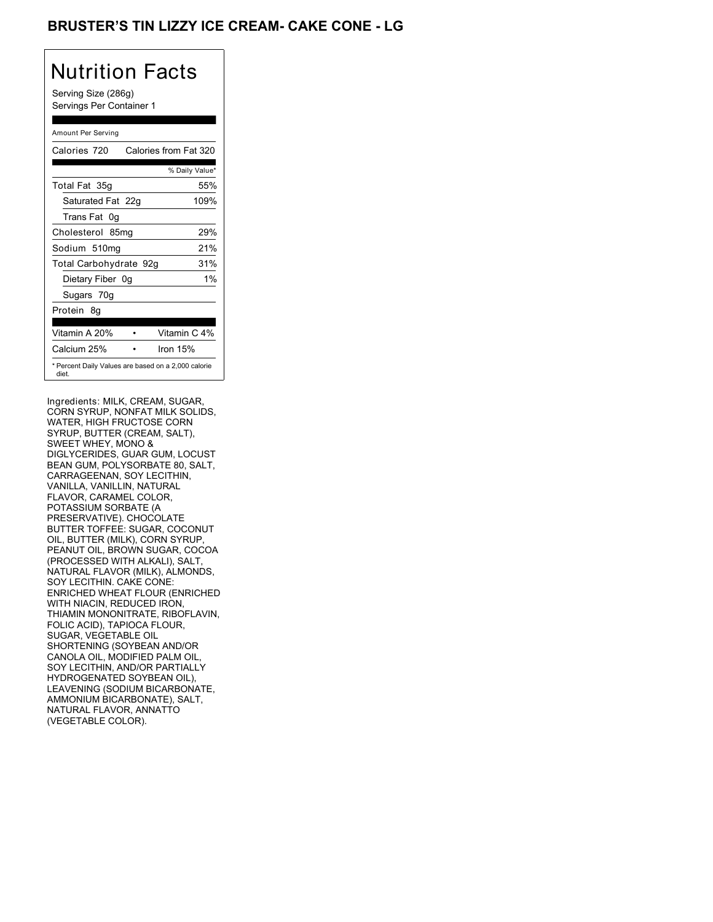## **BRUSTER'S TIN LIZZY ICE CREAM- CAKE CONE - LG**

# Nutrition Facts

Serving Size (286g) Servings Per Container 1

#### Amount Per Serving

| Calories 720           | Calories from Fat 320                               |
|------------------------|-----------------------------------------------------|
|                        | % Daily Value*                                      |
| Total Fat 35g          | 55%                                                 |
| Saturated Fat 22g      | 109%                                                |
| Trans Fat 0q           |                                                     |
| Cholesterol 85mg       | 29%                                                 |
| Sodium 510mg           | 21%                                                 |
| Total Carbohydrate 92g | 31%                                                 |
| Dietary Fiber 0g       | $1\%$                                               |
| Sugars 70g             |                                                     |
| Protein 8q             |                                                     |
| Vitamin A 20%          | Vitamin C 4%                                        |
| Calcium 25%            | Iron $15%$                                          |
| diet.                  | * Percent Daily Values are based on a 2,000 calorie |

Ingredients: MILK, CREAM, SUGAR, CORN SYRUP, NONFAT MILK SOLIDS, WATER, HIGH FRUCTOSE CORN SYRUP, BUTTER (CREAM, SALT), SWEET WHEY, MONO & DIGLYCERIDES, GUAR GUM, LOCUST BEAN GUM, POLYSORBATE 80, SALT, CARRAGEENAN, SOY LECITHIN, VANILLA, VANILLIN, NATURAL FLAVOR, CARAMEL COLOR, POTASSIUM SORBATE (A PRESERVATIVE). CHOCOLATE BUTTER TOFFEE: SUGAR, COCONUT OIL, BUTTER (MILK), CORN SYRUP, PEANUT OIL, BROWN SUGAR, COCOA (PROCESSED WITH ALKALI), SALT, NATURAL FLAVOR (MILK), ALMONDS, SOY LECITHIN. CAKE CONE: ENRICHED WHEAT FLOUR (ENRICHED WITH NIACIN, REDUCED IRON, THIAMIN MONONITRATE, RIBOFLAVIN, FOLIC ACID), TAPIOCA FLOUR, SUGAR, VEGETABLE OIL SHORTENING (SOYBEAN AND/OR CANOLA OIL, MODIFIED PALM OIL, SOY LECITHIN, AND/OR PARTIALLY HYDROGENATED SOYBEAN OIL), LEAVENING (SODIUM BICARBONATE, AMMONIUM BICARBONATE), SALT, NATURAL FLAVOR, ANNATTO (VEGETABLE COLOR).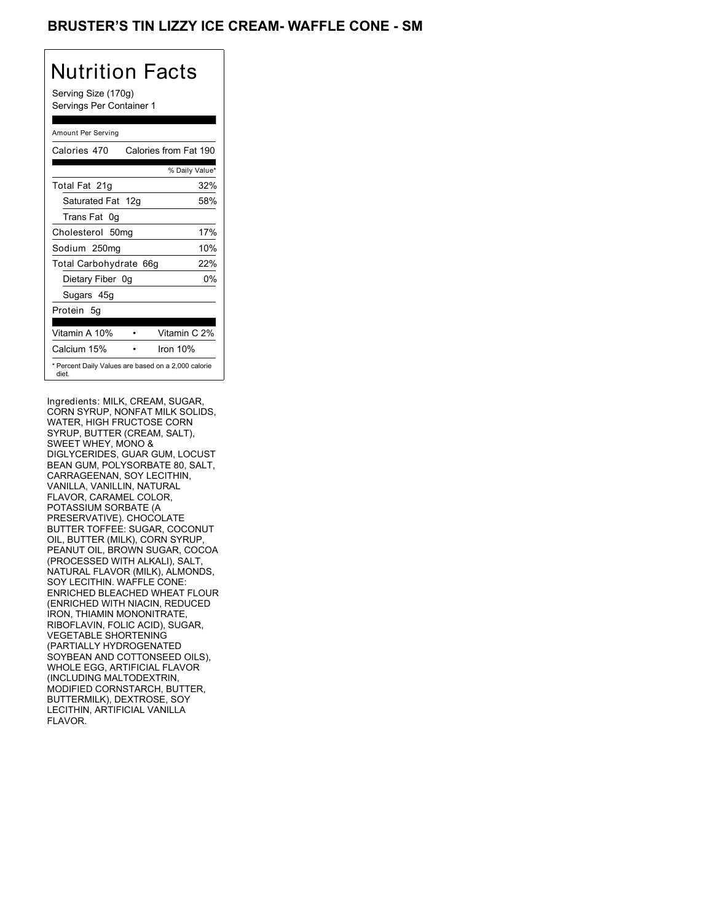## BRUSTER'S TIN LIZZY ICE CREAM- WAFFLE CONE - SM

## Nutrition Facts

Serving Size (170g) Servings Per Container 1

#### Amount Per Serving

| Calories 470                                                 | Calories from Fat 190 |
|--------------------------------------------------------------|-----------------------|
|                                                              | % Daily Value*        |
| Total Fat 21g                                                | 32%                   |
| Saturated Fat 12g                                            | 58%                   |
| Trans Fat 0q                                                 |                       |
| Cholesterol 50mg                                             | 17%                   |
| Sodium 250mg                                                 | 10%                   |
| Total Carbohydrate 66g                                       | 22%                   |
| Dietary Fiber 0g                                             | 0%                    |
| Sugars 45g                                                   |                       |
| Protein 5q                                                   |                       |
| Vitamin A 10%                                                | Vitamin C 2%          |
| Calcium 15%                                                  | Iron $10%$            |
| * Percent Daily Values are based on a 2,000 calorie<br>diet. |                       |

Ingredients: MILK, CREAM, SUGAR, CORN SYRUP, NONFAT MILK SOLIDS, WATER, HIGH FRUCTOSE CORN SYRUP, BUTTER (CREAM, SALT), SWEET WHEY, MONO & DIGLYCERIDES, GUAR GUM, LOCUST BEAN GUM, POLYSORBATE 80, SALT, CARRAGEENAN, SOY LECITHIN, VANILLA, VANILLIN, NATURAL FLAVOR, CARAMEL COLOR, POTASSIUM SORBATE (A PRESERVATIVE). CHOCOLATE BUTTER TOFFEE: SUGAR, COCONUT OIL, BUTTER (MILK), CORN SYRUP, PEANUT OIL, BROWN SUGAR, COCOA (PROCESSED WITH ALKALI), SALT, NATURAL FLAVOR (MILK), ALMONDS, SOY LECITHIN. WAFFLE CONE: ENRICHED BLEACHED WHEAT FLOUR (ENRICHED WITH NIACIN, REDUCED IRON, THIAMIN MONONITRATE, RIBOFLAVIN, FOLIC ACID), SUGAR, VEGETABLE SHORTENING (PARTIALLY HYDROGENATED SOYBEAN AND COTTONSEED OILS), WHOLE EGG, ARTIFICIAL FLAVOR (INCLUDING MALTODEXTRIN, MODIFIED CORNSTARCH, BUTTER, BUTTERMILK), DEXTROSE, SOY LECITHIN, ARTIFICIAL VANILLA FLAVOR.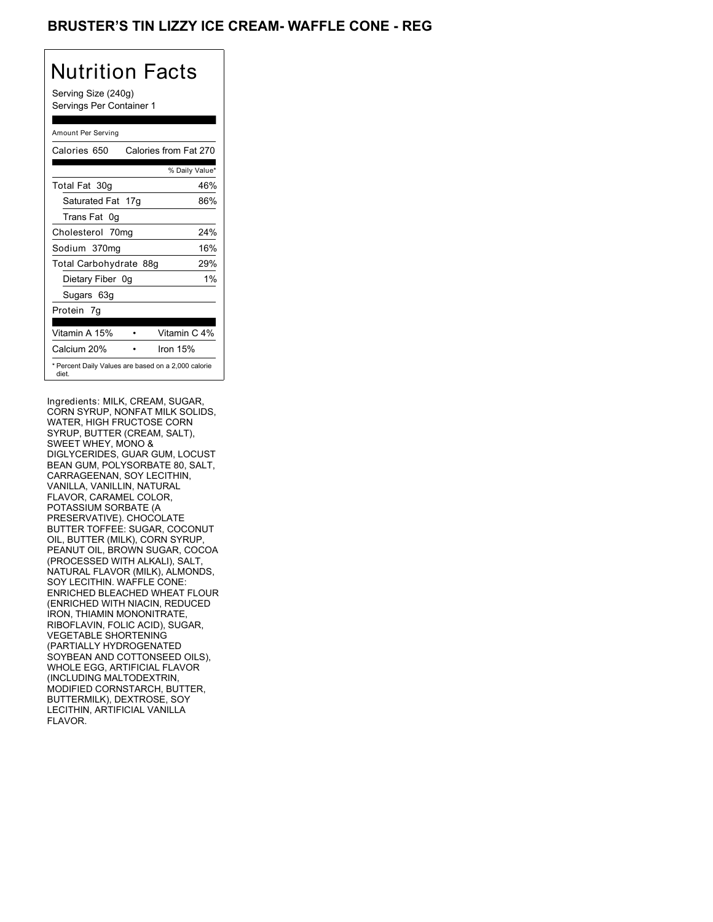## BRUSTER'S TIN LIZZY ICE CREAM- WAFFLE CONE - REG

## Nutrition Facts

Serving Size (240g) Servings Per Container 1

#### Amount Per Serving

| Calories 650           | Calories from Fat 270                               |
|------------------------|-----------------------------------------------------|
|                        | % Daily Value*                                      |
| Total Fat 30g          | 46%                                                 |
| Saturated Fat 17g      | 86%                                                 |
| Trans Fat 0g           |                                                     |
| Cholesterol 70mg       | 24%                                                 |
| Sodium 370mg           | 16%                                                 |
| Total Carbohydrate 88g | 29%                                                 |
| Dietary Fiber 0g       | $1\%$                                               |
| Sugars 63g             |                                                     |
| Protein 7q             |                                                     |
| Vitamin A 15%          | Vitamin C 4%                                        |
| Calcium 20%            | Iron 15%                                            |
| diet.                  | * Percent Daily Values are based on a 2,000 calorie |

Ingredients: MILK, CREAM, SUGAR, CORN SYRUP, NONFAT MILK SOLIDS, WATER, HIGH FRUCTOSE CORN SYRUP, BUTTER (CREAM, SALT), SWEET WHEY, MONO & DIGLYCERIDES, GUAR GUM, LOCUST BEAN GUM, POLYSORBATE 80, SALT, CARRAGEENAN, SOY LECITHIN, VANILLA, VANILLIN, NATURAL FLAVOR, CARAMEL COLOR, POTASSIUM SORBATE (A PRESERVATIVE). CHOCOLATE BUTTER TOFFEE: SUGAR, COCONUT OIL, BUTTER (MILK), CORN SYRUP, PEANUT OIL, BROWN SUGAR, COCOA (PROCESSED WITH ALKALI), SALT, NATURAL FLAVOR (MILK), ALMONDS, SOY LECITHIN. WAFFLE CONE: ENRICHED BLEACHED WHEAT FLOUR (ENRICHED WITH NIACIN, REDUCED IRON, THIAMIN MONONITRATE, RIBOFLAVIN, FOLIC ACID), SUGAR, VEGETABLE SHORTENING (PARTIALLY HYDROGENATED SOYBEAN AND COTTONSEED OILS), WHOLE EGG, ARTIFICIAL FLAVOR (INCLUDING MALTODEXTRIN, MODIFIED CORNSTARCH, BUTTER, BUTTERMILK), DEXTROSE, SOY LECITHIN, ARTIFICIAL VANILLA FLAVOR.